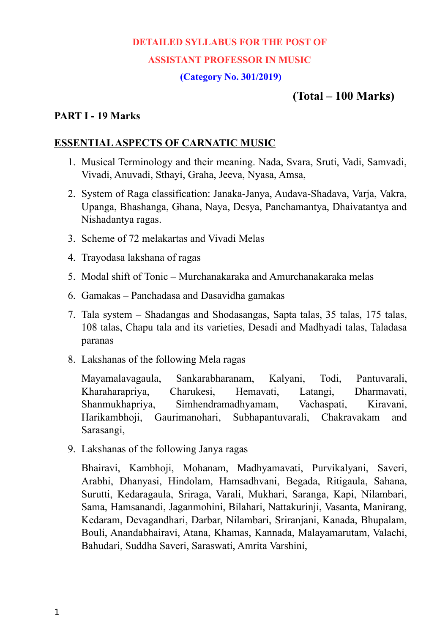# **DETAILED SYLLABUS FOR THE POST OF ASSISTANT PROFESSOR IN MUSIC**

# **(Category No. 301/2019)**

# **(Total – 100 Marks)**

#### **PART I - 19 Marks**

#### **ESSENTIAL ASPECTS OF CARNATIC MUSIC**

- 1. Musical Terminology and their meaning. Nada, Svara, Sruti, Vadi, Samvadi, Vivadi, Anuvadi, Sthayi, Graha, Jeeva, Nyasa, Amsa,
- 2. System of Raga classification: Janaka-Janya, Audava-Shadava, Varja, Vakra, Upanga, Bhashanga, Ghana, Naya, Desya, Panchamantya, Dhaivatantya and Nishadantya ragas.
- 3. Scheme of 72 melakartas and Vivadi Melas
- 4. Trayodasa lakshana of ragas
- 5. Modal shift of Tonic Murchanakaraka and Amurchanakaraka melas
- 6. Gamakas Panchadasa and Dasavidha gamakas
- 7. Tala system Shadangas and Shodasangas, Sapta talas, 35 talas, 175 talas, 108 talas, Chapu tala and its varieties, Desadi and Madhyadi talas, Taladasa paranas
- 8. Lakshanas of the following Mela ragas

Mayamalavagaula, Sankarabharanam, Kalyani, Todi, Pantuvarali, Kharaharapriya, Charukesi, Hemavati, Latangi, Dharmavati, Shanmukhapriya, Simhendramadhyamam, Vachaspati, Kiravani, Harikambhoji, Gaurimanohari, Subhapantuvarali, Chakravakam and Sarasangi,

9. Lakshanas of the following Janya ragas

Bhairavi, Kambhoji, Mohanam, Madhyamavati, Purvikalyani, Saveri, Arabhi, Dhanyasi, Hindolam, Hamsadhvani, Begada, Ritigaula, Sahana, Surutti, Kedaragaula, Sriraga, Varali, Mukhari, Saranga, Kapi, Nilambari, Sama, Hamsanandi, Jaganmohini, Bilahari, Nattakurinji, Vasanta, Manirang, Kedaram, Devagandhari, Darbar, Nilambari, Sriranjani, Kanada, Bhupalam, Bouli, Anandabhairavi, Atana, Khamas, Kannada, Malayamarutam, Valachi, Bahudari, Suddha Saveri, Saraswati, Amrita Varshini,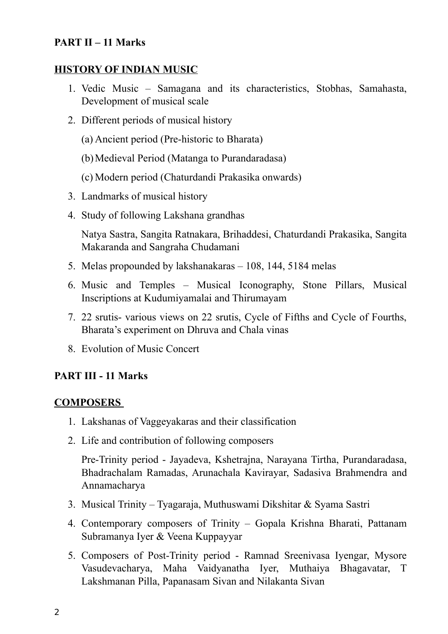# **PART II – 11 Marks**

# **HISTORY OF INDIAN MUSIC**

- 1. Vedic Music Samagana and its characteristics, Stobhas, Samahasta, Development of musical scale
- 2. Different periods of musical history
	- (a) Ancient period (Pre-historic to Bharata)
	- (b)Medieval Period (Matanga to Purandaradasa)
	- (c) Modern period (Chaturdandi Prakasika onwards)
- 3. Landmarks of musical history
- 4. Study of following Lakshana grandhas

Natya Sastra, Sangita Ratnakara, Brihaddesi, Chaturdandi Prakasika, Sangita Makaranda and Sangraha Chudamani

- 5. Melas propounded by lakshanakaras 108, 144, 5184 melas
- 6. Music and Temples Musical Iconography, Stone Pillars, Musical Inscriptions at Kudumiyamalai and Thirumayam
- 7. 22 srutis- various views on 22 srutis, Cycle of Fifths and Cycle of Fourths, Bharata's experiment on Dhruva and Chala vinas
- 8. Evolution of Music Concert

## **PART III - 11 Marks**

#### **COMPOSERS**

- 1. Lakshanas of Vaggeyakaras and their classification
- 2. Life and contribution of following composers

Pre-Trinity period - Jayadeva, Kshetrajna, Narayana Tirtha, Purandaradasa, Bhadrachalam Ramadas, Arunachala Kavirayar, Sadasiva Brahmendra and Annamacharya

- 3. Musical Trinity Tyagaraja, Muthuswami Dikshitar & Syama Sastri
- 4. Contemporary composers of Trinity Gopala Krishna Bharati, Pattanam Subramanya Iyer & Veena Kuppayyar
- 5. Composers of Post-Trinity period Ramnad Sreenivasa Iyengar, Mysore Vasudevacharya, Maha Vaidyanatha Iyer, Muthaiya Bhagavatar, T Lakshmanan Pilla, Papanasam Sivan and Nilakanta Sivan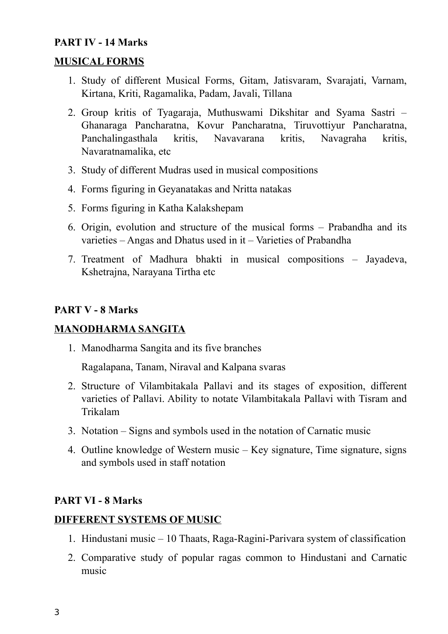# **PART IV - 14 Marks**

## **MUSICAL FORMS**

- 1. Study of different Musical Forms, Gitam, Jatisvaram, Svarajati, Varnam, Kirtana, Kriti, Ragamalika, Padam, Javali, Tillana
- 2. Group kritis of Tyagaraja, Muthuswami Dikshitar and Syama Sastri Ghanaraga Pancharatna, Kovur Pancharatna, Tiruvottiyur Pancharatna, Panchalingasthala kritis, Navavarana kritis, Navagraha kritis, Navaratnamalika, etc
- 3. Study of different Mudras used in musical compositions
- 4. Forms figuring in Geyanatakas and Nritta natakas
- 5. Forms figuring in Katha Kalakshepam
- 6. Origin, evolution and structure of the musical forms Prabandha and its varieties – Angas and Dhatus used in it – Varieties of Prabandha
- 7. Treatment of Madhura bhakti in musical compositions Jayadeva, Kshetrajna, Narayana Tirtha etc

### **PART V - 8 Marks**

## **MANODHARMA SANGITA**

1. Manodharma Sangita and its five branches

Ragalapana, Tanam, Niraval and Kalpana svaras

- 2. Structure of Vilambitakala Pallavi and its stages of exposition, different varieties of Pallavi. Ability to notate Vilambitakala Pallavi with Tisram and Trikalam
- 3. Notation Signs and symbols used in the notation of Carnatic music
- 4. Outline knowledge of Western music Key signature, Time signature, signs and symbols used in staff notation

## **PART VI - 8 Marks**

#### **DIFFERENT SYSTEMS OF MUSIC**

- 1. Hindustani music 10 Thaats, Raga-Ragini-Parivara system of classification
- 2. Comparative study of popular ragas common to Hindustani and Carnatic music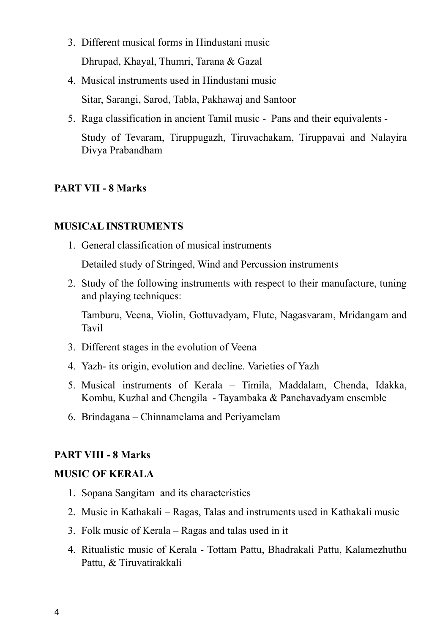- 3. Different musical forms in Hindustani music Dhrupad, Khayal, Thumri, Tarana & Gazal
- 4. Musical instruments used in Hindustani music Sitar, Sarangi, Sarod, Tabla, Pakhawaj and Santoor
- 5. Raga classification in ancient Tamil music Pans and their equivalents Study of Tevaram, Tiruppugazh, Tiruvachakam, Tiruppavai and Nalayira Divya Prabandham

## **PART VII - 8 Marks**

### **MUSICAL INSTRUMENTS**

1. General classification of musical instruments

Detailed study of Stringed, Wind and Percussion instruments

2. Study of the following instruments with respect to their manufacture, tuning and playing techniques:

Tamburu, Veena, Violin, Gottuvadyam, Flute, Nagasvaram, Mridangam and Tavil

- 3. Different stages in the evolution of Veena
- 4. Yazh- its origin, evolution and decline. Varieties of Yazh
- 5. Musical instruments of Kerala Timila, Maddalam, Chenda, Idakka, Kombu, Kuzhal and Chengila - Tayambaka & Panchavadyam ensemble
- 6. Brindagana Chinnamelama and Periyamelam

#### **PART VIII - 8 Marks**

#### **MUSIC OF KERALA**

- 1. Sopana Sangitam and its characteristics
- 2. Music in Kathakali Ragas, Talas and instruments used in Kathakali music
- 3. Folk music of Kerala Ragas and talas used in it
- 4. Ritualistic music of Kerala Tottam Pattu, Bhadrakali Pattu, Kalamezhuthu Pattu, & Tiruvatirakkali